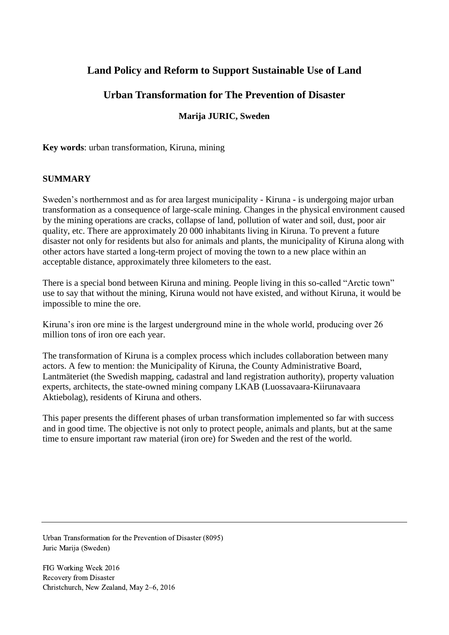# **Land Policy and Reform to Support Sustainable Use of Land**

# **Urban Transformation for The Prevention of Disaster**

## **Marija JURIC, Sweden**

**Key words**: urban transformation, Kiruna, mining

#### **SUMMARY**

Sweden's northernmost and as for area largest municipality - Kiruna - is undergoing major urban transformation as a consequence of large-scale mining. Changes in the physical environment caused by the mining operations are cracks, collapse of land, pollution of water and soil, dust, poor air quality, etc. There are approximately 20 000 inhabitants living in Kiruna. To prevent a future disaster not only for residents but also for animals and plants, the municipality of Kiruna along with other actors have started a long-term project of moving the town to a new place within an acceptable distance, approximately three kilometers to the east.

There is a special bond between Kiruna and mining. People living in this so-called "Arctic town" use to say that without the mining, Kiruna would not have existed, and without Kiruna, it would be impossible to mine the ore.

Kiruna's iron ore mine is the largest underground mine in the whole world, producing over 26 million tons of iron ore each year.

The transformation of Kiruna is a complex process which includes collaboration between many actors. A few to mention: the Municipality of Kiruna, the County Administrative Board, Lantmäteriet (the Swedish mapping, cadastral and land registration authority), property valuation experts, architects, the state-owned mining company LKAB (Luossavaara-Kiirunavaara Aktiebolag), residents of Kiruna and others.

This paper presents the different phases of urban transformation implemented so far with success and in good time. The objective is not only to protect people, animals and plants, but at the same time to ensure important raw material (iron ore) for Sweden and the rest of the world.

Urban Transformation for the Prevention of Disaster (8095) Juric Marija (Sweden)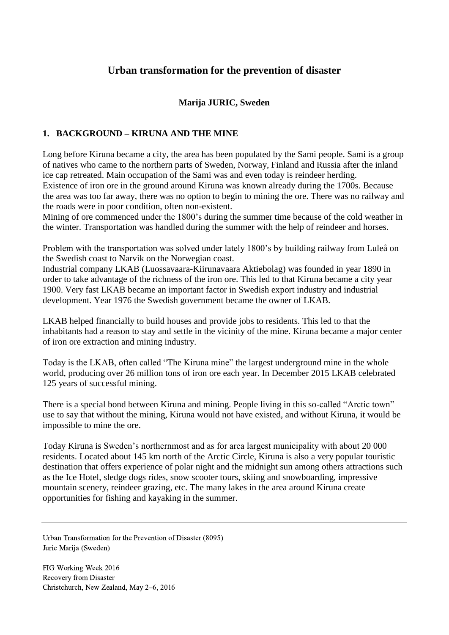# **Urban transformation for the prevention of disaster**

## **Marija JURIC, Sweden**

### **1. BACKGROUND – KIRUNA AND THE MINE**

Long before Kiruna became a city, the area has been populated by the Sami people. Sami is a group of natives who came to the northern parts of Sweden, Norway, Finland and Russia after the inland ice cap retreated. Main occupation of the Sami was and even today is reindeer herding. Existence of iron ore in the ground around Kiruna was known already during the 1700s. Because the area was too far away, there was no option to begin to mining the ore. There was no railway and the roads were in poor condition, often non-existent.

Mining of ore commenced under the 1800's during the summer time because of the cold weather in the winter. Transportation was handled during the summer with the help of reindeer and horses.

Problem with the transportation was solved under lately 1800's by building railway from Luleå on the Swedish coast to Narvik on the Norwegian coast.

Industrial company LKAB (Luossavaara-Kiirunavaara Aktiebolag) was founded in year 1890 in order to take advantage of the richness of the iron ore. This led to that Kiruna became a city year 1900. Very fast LKAB became an important factor in Swedish export industry and industrial development. Year 1976 the Swedish government became the owner of LKAB.

LKAB helped financially to build houses and provide jobs to residents. This led to that the inhabitants had a reason to stay and settle in the vicinity of the mine. Kiruna became a major center of iron ore extraction and mining industry.

Today is the LKAB, often called "The Kiruna mine" the largest underground mine in the whole world, producing over 26 million tons of iron ore each year. In December 2015 LKAB celebrated 125 years of successful mining.

There is a special bond between Kiruna and mining. People living in this so-called "Arctic town" use to say that without the mining, Kiruna would not have existed, and without Kiruna, it would be impossible to mine the ore.

Today Kiruna is Sweden's northernmost and as for area largest municipality with about 20 000 residents. Located about 145 km north of the Arctic Circle, Kiruna is also a very popular touristic destination that offers experience of polar night and the midnight sun among others attractions such as the Ice Hotel, sledge dogs rides, snow scooter tours, skiing and snowboarding, impressive mountain scenery, reindeer grazing, etc. The many lakes in the area around Kiruna create opportunities for fishing and kayaking in the summer.

Urban Transformation for the Prevention of Disaster (8095) Juric Marija (Sweden)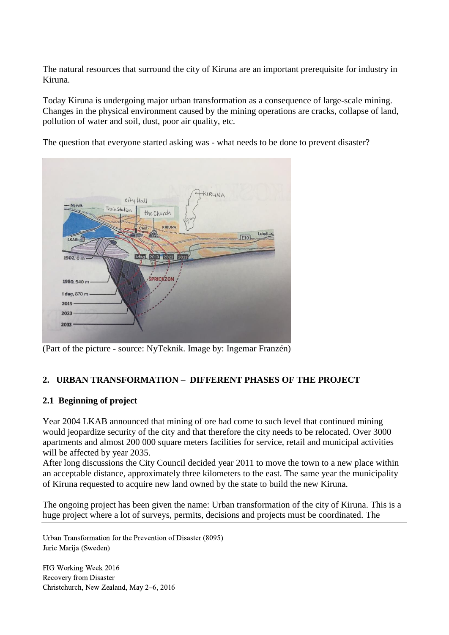The natural resources that surround the city of Kiruna are an important prerequisite for industry in Kiruna.

Today Kiruna is undergoing major urban transformation as a consequence of large-scale mining. Changes in the physical environment caused by the mining operations are cracks, collapse of land, pollution of water and soil, dust, poor air quality, etc.

The question that everyone started asking was - what needs to be done to prevent disaster?



(Part of the picture - source: NyTeknik. Image by: Ingemar Franzén)

# **2. URBAN TRANSFORMATION – DIFFERENT PHASES OF THE PROJECT**

# **2.1 Beginning of project**

Year 2004 LKAB announced that mining of ore had come to such level that continued mining would jeopardize security of the city and that therefore the city needs to be relocated. Over 3000 apartments and almost 200 000 square meters facilities for service, retail and municipal activities will be affected by year 2035.

After long discussions the City Council decided year 2011 to move the town to a new place within an acceptable distance, approximately three kilometers to the east. The same year the municipality of Kiruna requested to acquire new land owned by the state to build the new Kiruna.

The ongoing project has been given the name: Urban transformation of the city of Kiruna. This is a huge project where a lot of surveys, permits, decisions and projects must be coordinated. The

Urban Transformation for the Prevention of Disaster (8095) Juric Marija (Sweden)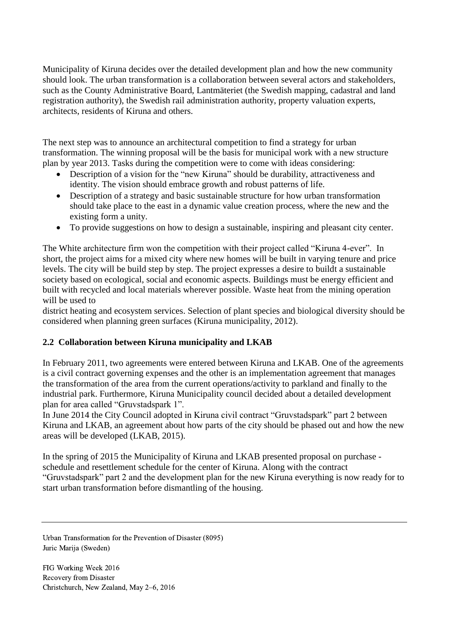Municipality of Kiruna decides over the detailed development plan and how the new community should look. The urban transformation is a collaboration between several actors and stakeholders, such as the County Administrative Board, Lantmäteriet (the Swedish mapping, cadastral and land registration authority), the Swedish rail administration authority, property valuation experts, architects, residents of Kiruna and others.

The next step was to announce an architectural competition to find a strategy for urban transformation. The winning proposal will be the basis for municipal work with a new structure plan by year 2013. Tasks during the competition were to come with ideas considering:

- Description of a vision for the "new Kiruna" should be durability, attractiveness and identity. The vision should embrace growth and robust patterns of life.
- Description of a strategy and basic sustainable structure for how urban transformation should take place to the east in a dynamic value creation process, where the new and the existing form a unity.
- To provide suggestions on how to design a sustainable, inspiring and pleasant city center.

The White architecture firm won the competition with their project called "Kiruna 4-ever". In short, the project aims for a mixed city where new homes will be built in varying tenure and price levels. The city will be build step by step. The project expresses a desire to buildt a sustainable society based on ecological, social and economic aspects. Buildings must be energy efficient and built with recycled and local materials wherever possible. Waste heat from the mining operation will be used to

district heating and ecosystem services. Selection of plant species and biological diversity should be considered when planning green surfaces (Kiruna municipality, 2012).

### **2.2 Collaboration between Kiruna municipality and LKAB**

In February 2011, two agreements were entered between Kiruna and LKAB. One of the agreements is a civil contract governing expenses and the other is an implementation agreement that manages the transformation of the area from the current operations/activity to parkland and finally to the industrial park. Furthermore, Kiruna Municipality council decided about a detailed development plan for area called "Gruvstadspark 1".

In June 2014 the City Council adopted in Kiruna civil contract "Gruvstadspark" part 2 between Kiruna and LKAB, an agreement about how parts of the city should be phased out and how the new areas will be developed (LKAB, 2015).

In the spring of 2015 the Municipality of Kiruna and LKAB presented proposal on purchase schedule and resettlement schedule for the center of Kiruna. Along with the contract "Gruvstadspark" part 2 and the development plan for the new Kiruna everything is now ready for to start urban transformation before dismantling of the housing.

Urban Transformation for the Prevention of Disaster (8095) Juric Marija (Sweden)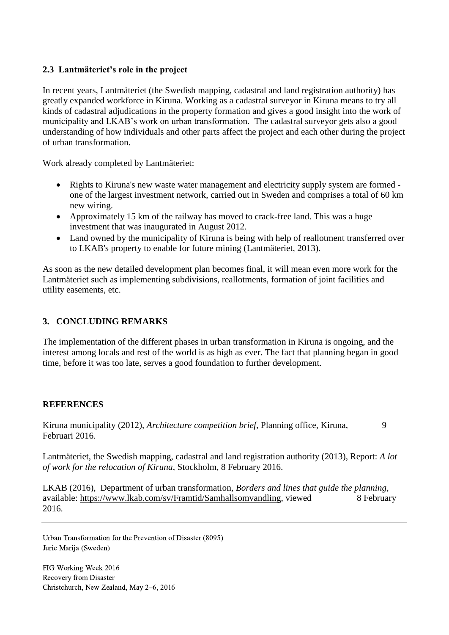#### **2.3 Lantmäteriet's role in the project**

In recent years, Lantmäteriet (the Swedish mapping, cadastral and land registration authority) has greatly expanded workforce in Kiruna. Working as a cadastral surveyor in Kiruna means to try all kinds of cadastral adjudications in the property formation and gives a good insight into the work of municipality and LKAB's work on urban transformation. The cadastral surveyor gets also a good understanding of how individuals and other parts affect the project and each other during the project of urban transformation.

Work already completed by Lantmäteriet:

- Rights to Kiruna's new waste water management and electricity supply system are formed one of the largest investment network, carried out in Sweden and comprises a total of 60 km new wiring.
- Approximately 15 km of the railway has moved to crack-free land. This was a huge investment that was inaugurated in August 2012.
- Land owned by the municipality of Kiruna is being with help of reallotment transferred over to LKAB's property to enable for future mining (Lantmäteriet, 2013).

As soon as the new detailed development plan becomes final, it will mean even more work for the Lantmäteriet such as implementing subdivisions, reallotments, formation of joint facilities and utility easements, etc.

### **3. CONCLUDING REMARKS**

The implementation of the different phases in urban transformation in Kiruna is ongoing, and the interest among locals and rest of the world is as high as ever. The fact that planning began in good time, before it was too late, serves a good foundation to further development.

#### **REFERENCES**

Kiruna municipality (2012), *Architecture competition brief*, Planning office, Kiruna, 9 Februari 2016.

Lantmäteriet, the Swedish mapping, cadastral and land registration authority (2013), Report: *A lot of work for the relocation of Kiruna*, Stockholm, 8 February 2016.

LKAB (2016), Department of urban transformation, *Borders and lines that guide the planning,*  available: [https://www.lkab.com/sv/Framtid/Samhallsomvandling,](https://www.lkab.com/sv/Framtid/Samhallsomvandling) viewed 8 February 2016.

Urban Transformation for the Prevention of Disaster (8095) Juric Marija (Sweden)